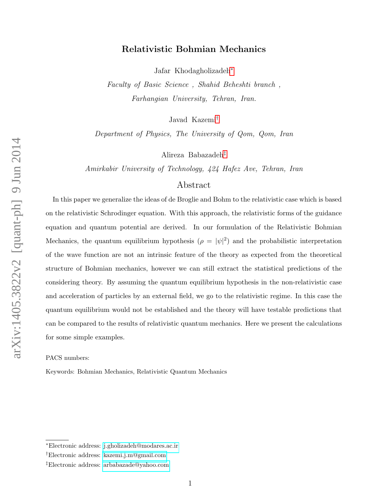# Relativistic Bohmian Mechanics

Jafar Khodagholizadeh[∗](#page-0-0)

Faculty of Basic Science , Shahid Beheshti branch , Farhangian University, Tehran, Iran.

Javad Kazemi[†](#page-0-1)

Department of Physics, The University of Qom, Qom, Iran

Alireza Babazadeh[‡](#page-0-2)

Amirkabir University of Technology, 424 Hafez Ave, Tehran, Iran

# Abstract

In this paper we generalize the ideas of de Broglie and Bohm to the relativistic case which is based on the relativistic Schrodinger equation. With this approach, the relativistic forms of the guidance equation and quantum potential are derived. In our formulation of the Relativistic Bohmian Mechanics, the quantum equilibrium hypothesis  $(\rho = |\psi|^2)$  and the probabilistic interpretation of the wave function are not an intrinsic feature of the theory as expected from the theoretical structure of Bohmian mechanics, however we can still extract the statistical predictions of the considering theory. By assuming the quantum equilibrium hypothesis in the non-relativistic case and acceleration of particles by an external field, we go to the relativistic regime. In this case the quantum equilibrium would not be established and the theory will have testable predictions that can be compared to the results of relativistic quantum mechanics. Here we present the calculations for some simple examples.

PACS numbers:

Keywords: Bohmian Mechanics, Relativistic Quantum Mechanics

<span id="page-0-1"></span><span id="page-0-0"></span><sup>∗</sup>Electronic address: [j.gholizadeh@modares.ac.ir](mailto:j.gholizadeh@modares.ac.ir)

<span id="page-0-2"></span><sup>†</sup>Electronic address: [kazemi.j.m@gmail.com](mailto:kazemi.j.m@gmail.com)

<sup>‡</sup>Electronic address: [arbabazade@yahoo.com](mailto:arbabazade@yahoo.com)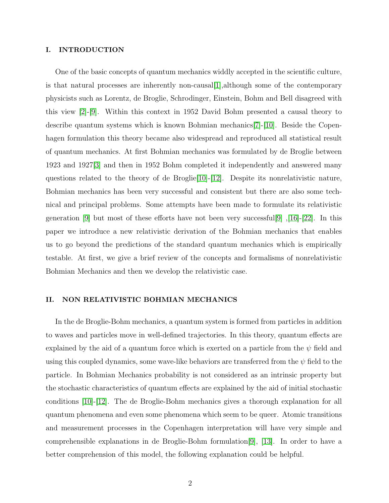## I. INTRODUCTION

One of the basic concepts of quantum mechanics widdly accepted in the scientific culture, is that natural processes are inherently non-causal  $|1|$ , although some of the contemporary physicists such as Lorentz, de Broglie, Schrodinger, Einstein, Bohm and Bell disagreed with this view [\[2\]](#page-17-1)-[\[9\]](#page-18-0). Within this context in 1952 David Bohm presented a causal theory to describe quantum systems which is known Bohmian mechanics[\[7\]](#page-18-1)-[\[10\]](#page-18-2). Beside the Copenhagen formulation this theory became also widespread and reproduced all statistical result of quantum mechanics. At first Bohmian mechanics was formulated by de Broglie between 1923 and 1927[\[3\]](#page-17-2) and then in 1952 Bohm completed it independently and answered many questions related to the theory of de Broglie[\[10\]](#page-18-2)-[\[12\]](#page-18-3). Despite its nonrelativistic nature, Bohmian mechanics has been very successful and consistent but there are also some technical and principal problems. Some attempts have been made to formulate its relativistic generation [\[9\]](#page-18-0) but most of these efforts have not been very successful<sup>[9]</sup>, [\[16\]](#page-18-4)-[\[22\]](#page-19-0). In this paper we introduce a new relativistic derivation of the Bohmian mechanics that enables us to go beyond the predictions of the standard quantum mechanics which is empirically testable. At first, we give a brief review of the concepts and formalisms of nonrelativistic Bohmian Mechanics and then we develop the relativistic case.

## II. NON RELATIVISTIC BOHMIAN MECHANICS

In the de Broglie-Bohm mechanics, a quantum system is formed from particles in addition to waves and particles move in well-defined trajectories. In this theory, quantum effects are explained by the aid of a quantum force which is exerted on a particle from the  $\psi$  field and using this coupled dynamics, some wave-like behaviors are transferred from the  $\psi$  field to the particle. In Bohmian Mechanics probability is not considered as an intrinsic property but the stochastic characteristics of quantum effects are explained by the aid of initial stochastic conditions [\[10\]](#page-18-2)-[\[12\]](#page-18-3). The de Broglie-Bohm mechanics gives a thorough explanation for all quantum phenomena and even some phenomena which seem to be queer. Atomic transitions and measurement processes in the Copenhagen interpretation will have very simple and comprehensible explanations in de Broglie-Bohm formulation[\[9\]](#page-18-0), [\[13\]](#page-18-5). In order to have a better comprehension of this model, the following explanation could be helpful.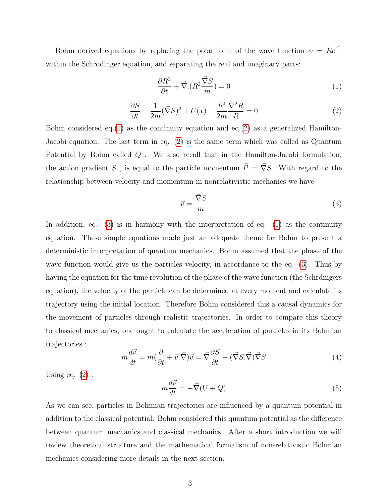Bohm derived equations by replacing the polar form of the wave function  $\psi = Re^{\frac{iS}{\hbar}}$ within the Schrodinger equation, and separating the real and imaginary parts:

<span id="page-2-0"></span>
$$
\frac{\partial R^2}{\partial t} + \vec{\nabla} . (R^2 \frac{\vec{\nabla} S}{m}) = 0 \tag{1}
$$

<span id="page-2-1"></span>
$$
\frac{\partial S}{\partial t} + \frac{1}{2m} (\vec{\nabla}S)^2 + U(x) - \frac{\hbar^2}{2m} \frac{\nabla^2 R}{R} = 0
$$
\n(2)

Bohm considered eq.[\(1\)](#page-2-0) as the continuity equation and eq.[\(2\)](#page-2-1) as a generalized Hamilton-Jacobi equation. The last term in eq. [\(2\)](#page-2-1) is the same term which was called as Quantum Potential by Bohm called  $Q$ . We also recall that in the Hamilton-Jacobi formulation, the action gradient S , is equal to the particle momentum  $\vec{P} = \vec{\nabla} S$ . With regard to the relationship between velocity and momentum in nonrelativistic mechanics we have

<span id="page-2-2"></span>
$$
\vec{v} = \frac{\vec{\nabla}S}{m} \tag{3}
$$

In addition, eq.  $(3)$  is in harmony with the interpretation of eq.  $(1)$  as the continuity equation. These simple equations made just an adequate theme for Bohm to present a deterministic interpretation of quantum mechanics. Bohm assumed that the phase of the wave function would give us the particles velocity, in accordance to the eq. [\(3\)](#page-2-2). Thus by having the equation for the time revolution of the phase of the wave function (the Schrdingers equation), the velocity of the particle can be determined at every moment and calculate its trajectory using the initial location. Therefore Bohm considered this a causal dynamics for the movement of particles through realistic trajectories. In order to compare this theory to classical mechanics, one ought to calculate the acceleration of particles in its Bohmian trajectories :

$$
m\frac{d\vec{v}}{dt} = m(\frac{\partial}{\partial t} + \vec{v}.\vec{\nabla})\vec{v} = \vec{\nabla}\frac{\partial S}{\partial t} + (\vec{\nabla}S.\vec{\nabla})\vec{\nabla}S
$$
\n(4)

Using eq.  $(2)$ :

$$
m\frac{d\vec{v}}{dt} = -\vec{\nabla}(U+Q)
$$
 (5)

As we can see, particles in Bohmian trajectories are influenced by a quantum potential in addition to the classical potential. Bohm considered this quantum potential as the difference between quantum mechanics and classical mechanics. After a short introduction we will review theoretical structure and the mathematical formalism of non-relativistic Bohmian mechanics considering more details in the next section.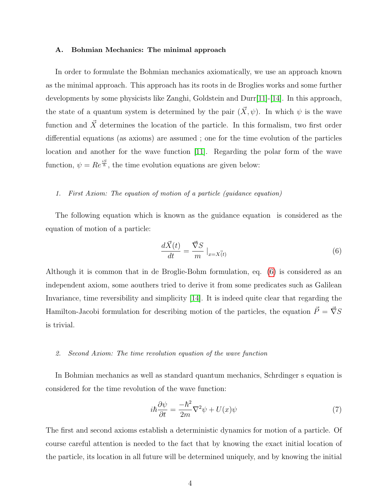#### A. Bohmian Mechanics: The minimal approach

In order to formulate the Bohmian mechanics axiomatically, we use an approach known as the minimal approach. This approach has its roots in de Broglies works and some further developments by some physicists like Zanghi, Goldstein and Durr[\[11\]](#page-18-6)-[\[14\]](#page-18-7). In this approach, the state of a quantum system is determined by the pair  $(\vec{X}, \psi)$ . In which  $\psi$  is the wave function and  $\vec{X}$  determines the location of the particle. In this formalism, two first order differential equations (as axioms) are assumed ; one for the time evolution of the particles location and another for the wave function [\[11\]](#page-18-6). Regarding the polar form of the wave function,  $\psi = Re^{\frac{iS}{\hbar}}$ , the time evolution equations are given below:

## 1. First Axiom: The equation of motion of a particle (guidance equation)

The following equation which is known as the guidance equation is considered as the equation of motion of a particle:

<span id="page-3-0"></span>
$$
\frac{d\vec{X}(t)}{dt} = \frac{\vec{\nabla}S}{m} \big|_{x=X(t)} \tag{6}
$$

Although it is common that in de Broglie-Bohm formulation, eq. [\(6\)](#page-3-0) is considered as an independent axiom, some aouthers tried to derive it from some predicates such as Galilean Invariance, time reversibility and simplicity [\[14\]](#page-18-7). It is indeed quite clear that regarding the Hamilton-Jacobi formulation for describing motion of the particles, the equation  $\vec{P} = \vec{\nabla}S$ is trivial.

## 2. Second Axiom: The time revolution equation of the wave function

In Bohmian mechanics as well as standard quantum mechanics, Schrdinger s equation is considered for the time revolution of the wave function:

$$
i\hbar \frac{\partial \psi}{\partial t} = \frac{-\hbar^2}{2m} \nabla^2 \psi + U(x)\psi \tag{7}
$$

The first and second axioms establish a deterministic dynamics for motion of a particle. Of course careful attention is needed to the fact that by knowing the exact initial location of the particle, its location in all future will be determined uniquely, and by knowing the initial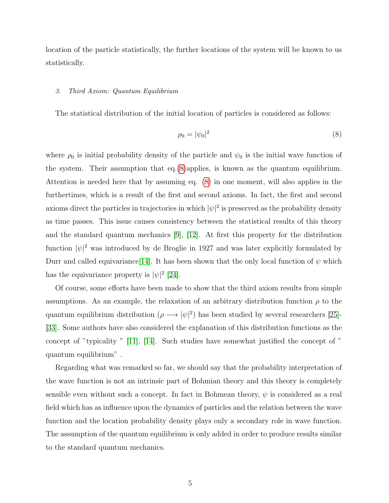location of the particle statistically, the further locations of the system will be known to us statistically.

# 3. Third Axiom: Quantum Equilibrium

The statistical distribution of the initial location of particles is considered as follows:

<span id="page-4-0"></span>
$$
\rho_0 = |\psi_0|^2 \tag{8}
$$

where  $\rho_0$  is initial probability density of the particle and  $\psi_0$  is the initial wave function of the system. Their assumption that eq.[\(8\)](#page-4-0)applies, is known as the quantum equilibrium. Attention is needed here that by assuming eq. [\(8\)](#page-4-0) in one moment, will also applies in the furthertimes, which is a result of the first and second axioms. In fact, the first and second axioms direct the particles in trajectories in which  $|\psi|^2$  is preserved as the probability density as time passes. This issue causes consistency between the statistical results of this theory and the standard quantum mechanics [\[9\]](#page-18-0), [\[12\]](#page-18-3). At first this property for the distribution function  $|\psi|^2$  was introduced by de Broglie in 1927 and was later explicitly formulated by Durr and called equivariance [\[14\]](#page-18-7). It has been shown that the only local function of  $\psi$  which has the equivariance property is  $|\psi|^2$  [\[24\]](#page-18-8).

Of course, some efforts have been made to show that the third axiom results from simple assumptions. As an example, the relaxation of an arbitrary distribution function  $\rho$  to the quantum equilibrium distribution  $(\rho \longrightarrow |\psi|^2)$  has been studied by several researchers [\[25\]](#page-19-1)-[\[33\]](#page-19-2). Some authors have also considered the explanation of this distribution functions as the concept of "typicality " [\[11\]](#page-18-6), [\[14\]](#page-18-7). Such studies have somewhat justified the concept of " quantum equilibrium" .

Regarding what was remarked so far, we should say that the probability interpretation of the wave function is not an intrinsic part of Bohmian theory and this theory is completely sensible even without such a concept. In fact in Bohmean theory,  $\psi$  is considered as a real field which has as influence upon the dynamics of particles and the relation between the wave function and the location probability density plays only a secondary role in wave function. The assumption of the quantum equilibrium is only added in order to produce results similar to the standard quantum mechanics.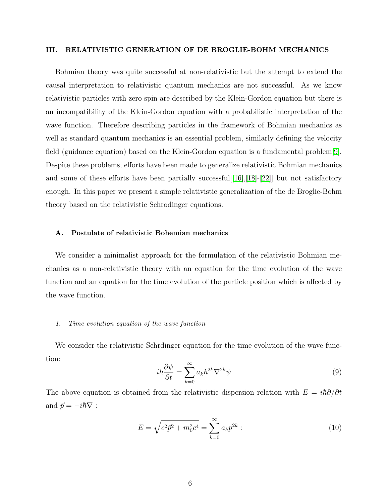## III. RELATIVISTIC GENERATION OF DE BROGLIE-BOHM MECHANICS

Bohmian theory was quite successful at non-relativistic but the attempt to extend the causal interpretation to relativistic quantum mechanics are not successful. As we know relativistic particles with zero spin are described by the Klein-Gordon equation but there is an incompatibility of the Klein-Gordon equation with a probabilistic interpretation of the wave function. Therefore describing particles in the framework of Bohmian mechanics as well as standard quantum mechanics is an essential problem, similarly defining the velocity field (guidance equation) based on the Klein-Gordon equation is a fundamental problem[\[9\]](#page-18-0). Despite these problems, efforts have been made to generalize relativistic Bohmian mechanics and some of these efforts have been partially successful [[\[16\]](#page-18-4), [\[18\]](#page-18-9)-[\[22\]](#page-19-0)] but not satisfactory enough. In this paper we present a simple relativistic generalization of the de Broglie-Bohm theory based on the relativistic Schrodinger equations.

#### A. Postulate of relativistic Bohemian mechanics

We consider a minimalist approach for the formulation of the relativistic Bohmian mechanics as a non-relativistic theory with an equation for the time evolution of the wave function and an equation for the time evolution of the particle position which is affected by the wave function.

#### 1. Time evolution equation of the wave function

We consider the relativistic Schrdinger equation for the time evolution of the wave function:

<span id="page-5-1"></span>
$$
i\hbar \frac{\partial \psi}{\partial t} = \sum_{k=0}^{\infty} a_k \hbar^{2k} \nabla^{2k} \psi \tag{9}
$$

The above equation is obtained from the relativistic dispersion relation with  $E = i\hbar \partial/\partial t$ and  $\vec{p} = -i\hbar\nabla$ :

<span id="page-5-0"></span>
$$
E = \sqrt{c^2 \vec{p}^2 + m_0^2 c^4} = \sum_{k=0}^{\infty} a_k p^{2k}:
$$
 (10)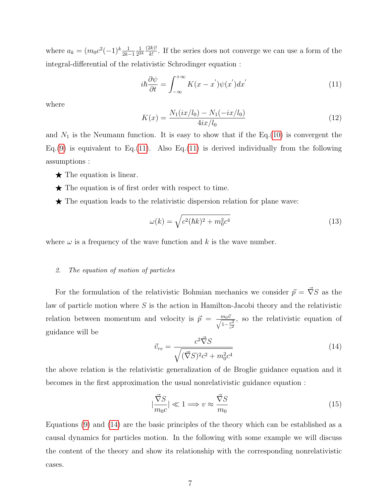where  $a_k = (m_0 c^2 (-1)^k \frac{1}{2k-1})$ 1  $\frac{1}{2^{2k}} \frac{(2k)!}{k!}$  $\frac{dE}{k!}$ . If the series does not converge we can use a form of the integral-differential of the relativistic Schrodinger equation :

<span id="page-6-0"></span>
$$
i\hbar \frac{\partial \psi}{\partial t} = \int_{-\infty}^{+\infty} K(x - x^{'}) \psi(x^{'}) dx^{'}
$$
 (11)

where

$$
K(x) = \frac{N_1(ix/l_0) - N_1(-ix/l_0)}{4ix/l_0}
$$
\n(12)

and  $N_1$  is the Neumann function. It is easy to show that if the Eq.[\(10\)](#page-5-0) is convergent the Eq.[\(9\)](#page-5-1) is equivalent to Eq.[\(11\)](#page-6-0). Also Eq.(11) is derived individually from the following assumptions :

- $\star$  The equation is linear.
- $\star$  The equation is of first order with respect to time.
- $\star$  The equation leads to the relativistic dispersion relation for plane wave:

$$
\omega(k) = \sqrt{c^2(\hbar k)^2 + m_0^2 c^4} \tag{13}
$$

where  $\omega$  is a frequency of the wave function and k is the wave number.

## 2. The equation of motion of particles

For the formulation of the relativistic Bohmian mechanics we consider  $\vec{p} = \vec{\nabla}S$  as the law of particle motion where  $S$  is the action in Hamilton-Jacobi theory and the relativistic relation between momentum and velocity is  $\vec{p} = \frac{m_0 \vec{v}}{\sqrt{1 - \frac{v^2}{c^2}}}$ , so the relativistic equation of guidance will be

<span id="page-6-1"></span>
$$
\vec{v}_{re} = \frac{c^2 \vec{\nabla} S}{\sqrt{(\vec{\nabla} S)^2 c^2 + m_0^2 c^4}} \tag{14}
$$

the above relation is the relativistic generalization of de Broglie guidance equation and it becomes in the first approximation the usual nonrelativistic guidance equation :

$$
|\frac{\vec{\nabla}S}{m_0c}| \ll 1 \Longrightarrow v \approx \frac{\vec{\nabla}S}{m_0}
$$
\n(15)

Equations [\(9\)](#page-5-1) and [\(14\)](#page-6-1) are the basic principles of the theory which can be established as a causal dynamics for particles motion. In the following with some example we will discuss the content of the theory and show its relationship with the corresponding nonrelativistic cases.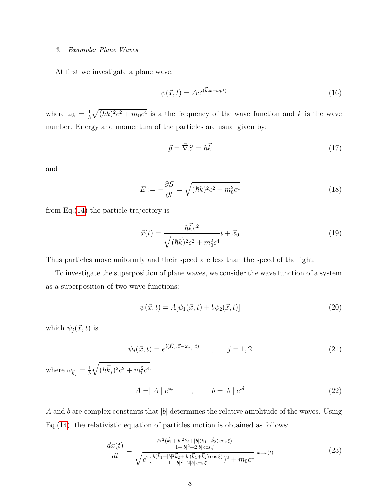## 3. Example: Plane Waves

At first we investigate a plane wave:

$$
\psi(\vec{x},t) = Ae^{i(\vec{k}.\vec{x}-\omega_k t)}\tag{16}
$$

where  $\omega_k = \frac{1}{\hbar} \sqrt{(\hbar k)^2 c^2 + m_0 c^4}$  is a the frequency of the wave function and k is the wave number. Energy and momentum of the particles are usual given by:

$$
\vec{p} = \vec{\nabla}S = \hbar \vec{k} \tag{17}
$$

and

$$
E := -\frac{\partial S}{\partial t} = \sqrt{(\hbar k)^2 c^2 + m_0^2 c^4} \tag{18}
$$

from Eq.[\(14\)](#page-6-1) the particle trajectory is

$$
\vec{x}(t) = \frac{\hbar \vec{k}c^2}{\sqrt{(\hbar \vec{k})^2 c^2 + m_0^2 c^4}} t + \vec{x}_0
$$
\n(19)

Thus particles move uniformly and their speed are less than the speed of the light.

To investigate the superposition of plane waves, we consider the wave function of a system as a superposition of two wave functions:

$$
\psi(\vec{x},t) = A[\psi_1(\vec{x},t) + b\psi_2(\vec{x},t)]
$$
\n(20)

which  $\psi_j(\vec{x}, t)$  is

$$
\psi_j(\vec{x}, t) = e^{i(\vec{K}_j \cdot \vec{x} - \omega_{k_j} \cdot t)} \qquad , \qquad j = 1, 2 \tag{21}
$$

where  $\omega_{\vec{k}_j} = \frac{1}{\hbar} \sqrt{(\hbar \vec{k}_j)^2 c^2 + m_0^2 c^4}$ .

$$
A = |A| e^{i\varphi} \qquad , \qquad b = |b| e^{i\delta} \qquad (22)
$$

A and b are complex constants that  $|b|$  determines the relative amplitude of the waves. Using Eq.[\(14\)](#page-6-1), the relativistic equation of particles motion is obtained as follows:

$$
\frac{dx(t)}{dt} = \frac{\frac{\hbar c^2 (\vec{k}_1 + |b|^2 \vec{k}_2 + |b| (\vec{k}_1 + \vec{k}_2) \cos \xi)}{1 + |b|^2 + 2|b| \cos \xi}}{\sqrt{c^2 (\frac{\hbar (\vec{k}_1 + |b|^2 \vec{k}_2 + |b| (\vec{k}_1 + \vec{k}_2) \cos \xi)}{1 + |b|^2 + 2|b| \cos \xi})^2 + m_0 c^4}}}|_{x=x(t)} \tag{23}
$$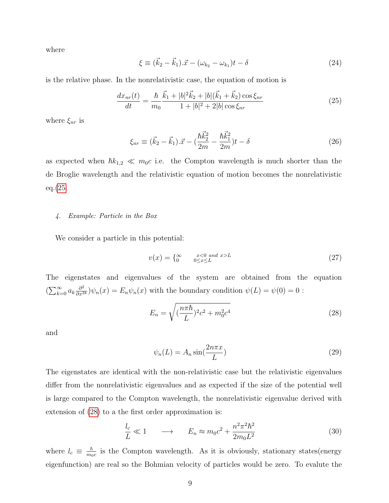where

$$
\xi \equiv (\vec{k}_2 - \vec{k}_1) . \vec{x} - (\omega_{k_2} - \omega_{k_1})t - \delta \tag{24}
$$

is the relative phase. In the nonrelativistic case, the equation of motion is

<span id="page-8-0"></span>
$$
\frac{dx_{nr}(t)}{dt} = \frac{\hbar}{m_0} \frac{\vec{k}_1 + |b|^2 \vec{k}_2 + |b|(\vec{k}_1 + \vec{k}_2) \cos \xi_{nr}}{1 + |b|^2 + 2|b| \cos \xi_{nr}}
$$
(25)

where  $\xi_{nr}$  is

$$
\xi_{nr} \equiv (\vec{k}_2 - \vec{k}_1).\vec{x} - (\frac{\hbar \vec{k}_2^2}{2m} - \frac{\hbar \vec{k}_1^2}{2m})t - \delta \tag{26}
$$

as expected when  $\hbar k_{1,2} \ll m_0c$  i.e. the Compton wavelength is much shorter than the de Broglie wavelength and the relativistic equation of motion becomes the nonrelativistic eq.[\(25.](#page-8-0)

## 4. Example: Particle in the Box

We consider a particle in this potential:

$$
v(x) = \begin{cases} \infty & x < 0 \text{ and } x > L \\ 0 & 0 \le x \le L \end{cases} \tag{27}
$$

The eigenstates and eigenvalues of the system are obtained from the equation  $(\sum_{k=0}^{\infty} a_k \frac{\partial^2}{\partial x^{2k}})\psi_n(x) = E_n \psi_n(x)$  with the boundary condition  $\psi(L) = \psi(0) = 0$ :

<span id="page-8-1"></span>
$$
E_n = \sqrt{\left(\frac{n\pi\hbar}{L}\right)^2 c^2 + m_0^2 c^4} \tag{28}
$$

and

$$
\psi_n(L) = A_n \sin(\frac{2n\pi x}{L})
$$
\n(29)

The eigenstates are identical with the non-relativistic case but the relativistic eigenvalues differ from the nonrelativistic eigenvalues and as expected if the size of the potential well is large compared to the Compton wavelength, the nonrelativistic eigenvalue derived with extension of [\(28\)](#page-8-1) to a the first order approximation is:

$$
\frac{l_c}{L} \ll 1 \qquad \longrightarrow \qquad E_n \approx m_0 c^2 + \frac{n^2 \pi^2 \hbar^2}{2m_0 L^2} \tag{30}
$$

where  $l_c \equiv \frac{\hbar}{mc}$  $\frac{\hbar}{m_0c}$  is the Compton wavelength. As it is obviously, stationary states (energy eigenfunction) are real so the Bohmian velocity of particles would be zero. To evalute the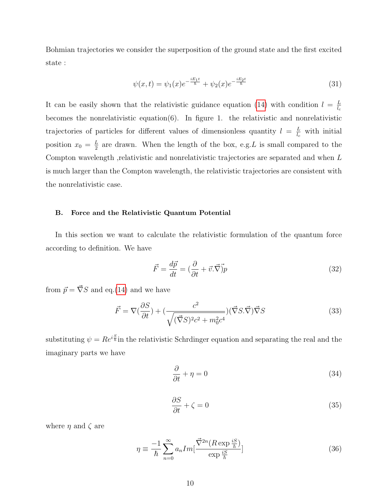Bohmian trajectories we consider the superposition of the ground state and the first excited state :

$$
\psi(x,t) = \psi_1(x)e^{-\frac{iE_1t}{\hbar}} + \psi_2(x)e^{-\frac{iE_2t}{\hbar}}
$$
\n(31)

It can be easily shown that the relativistic guidance equation [\(14\)](#page-6-1) with condition  $l = \frac{L}{l}$  $l_c$ becomes the nonrelativistic equation(6). In figure 1. the relativistic and nonrelativistic trajectories of particles for different values of dimensionless quantity  $l = \frac{L}{l}$  $\frac{L}{l_c}$  with initial position  $x_0 = \frac{L}{2}$  $\frac{L}{2}$  are drawn. When the length of the box, e.g. L is small compared to the Compton wavelength ,relativistic and nonrelativistic trajectories are separated and when L is much larger than the Compton wavelength, the relativistic trajectories are consistent with the nonrelativistic case.

## B. Force and the Relativistic Quantum Potential

In this section we want to calculate the relativistic formulation of the quantum force according to definition. We have

$$
\vec{F} = \frac{d\vec{p}}{dt} = (\frac{\partial}{\partial t} + \vec{v}.\vec{\nabla})\vec{p}
$$
\n(32)

from  $\vec{p} = \vec{\nabla} S$  and eq.[\(14\)](#page-6-1) and we have

$$
\vec{F} = \nabla \left(\frac{\partial S}{\partial t}\right) + \left(\frac{c^2}{\sqrt{(\vec{\nabla}S)^2 c^2 + m_0^2 c^4}}\right) (\vec{\nabla}S \cdot \vec{\nabla}) \vec{\nabla}S \tag{33}
$$

substituting  $\psi = Re^{i\frac{S}{\hbar}}$  in the relativistic Schrdinger equation and separating the real and the imaginary parts we have

$$
\frac{\partial}{\partial t} + \eta = 0 \tag{34}
$$

<span id="page-9-0"></span>
$$
\frac{\partial S}{\partial t} + \zeta = 0\tag{35}
$$

where  $\eta$  and  $\zeta$  are

$$
\eta \equiv \frac{-1}{\hbar} \sum_{n=0}^{\infty} a_n Im[\frac{\vec{\nabla}^{2n} (R \exp \frac{iS}{\hbar})}{\exp \frac{iS}{\hbar}}]
$$
(36)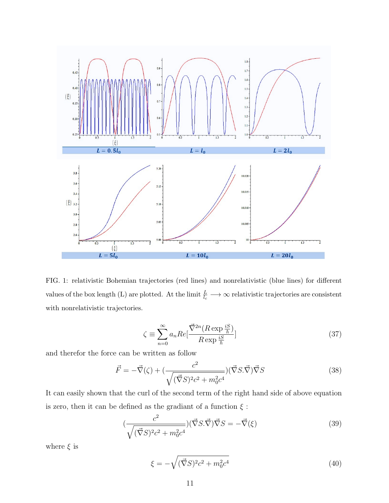

FIG. 1: relativistic Bohemian trajectories (red lines) and nonrelativistic (blue lines) for different values of the box length (L) are plotted. At the limit  $\frac{L}{l_c} \longrightarrow \infty$  relativistic trajectories are consistent with nonrelativistic trajectories.

$$
\zeta \equiv \sum_{n=0}^{\infty} a_n Re\left[\frac{\vec{\nabla}^{2n}(R \exp{\frac{iS}{\hbar}})}{R \exp{\frac{iS}{\hbar}}}\right]
$$
(37)

and therefor the force can be written as follow

$$
\vec{F} = -\vec{\nabla}(\zeta) + \left(\frac{c^2}{\sqrt{(\vec{\nabla}S)^2 c^2 + m_0^2 c^4}}\right) (\vec{\nabla}S \cdot \vec{\nabla}) \vec{\nabla}S
$$
\n(38)

It can easily shown that the curl of the second term of the right hand side of above equation is zero, then it can be defined as the gradiant of a function  $\xi$ :

$$
(\frac{c^2}{\sqrt{(\vec{\nabla}S)^2 c^2 + m_0^2 c^4}}) (\vec{\nabla}S \cdot \vec{\nabla}) \vec{\nabla}S = -\vec{\nabla}(\xi)
$$
 (39)

where  $\xi$  is

$$
\xi = -\sqrt{(\vec{\nabla}S)^2 c^2 + m_0^2 c^4} \tag{40}
$$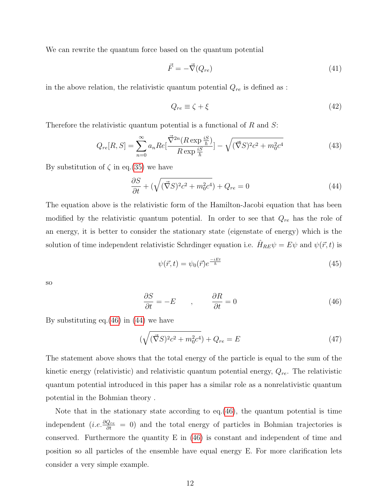We can rewrite the quantum force based on the quantum potential

$$
\vec{F} = -\vec{\nabla}(Q_{re})\tag{41}
$$

in the above relation, the relativistic quantum potential  $Q_{re}$  is defined as :

$$
Q_{re} \equiv \zeta + \xi \tag{42}
$$

Therefore the relativistic quantum potential is a functional of  $R$  and  $S$ :

$$
Q_{re}[R,S] = \sum_{n=0}^{\infty} a_n Re[\frac{\vec{\nabla}^{2n}(R \exp{\frac{iS}{\hbar}})}{R \exp{\frac{iS}{\hbar}}}] - \sqrt{(\vec{\nabla}S)^2 c^2 + m_0^2 c^4}
$$
(43)

By substitution of  $\zeta$  in eq.[\(35\)](#page-9-0) we have

<span id="page-11-1"></span>
$$
\frac{\partial S}{\partial t} + \left(\sqrt{(\vec{\nabla}S)^2 c^2 + m_0^2 c^4}\right) + Q_{re} = 0\tag{44}
$$

The equation above is the relativistic form of the Hamilton-Jacobi equation that has been modified by the relativistic quantum potential. In order to see that  $Q_{re}$  has the role of an energy, it is better to consider the stationary state (eigenstate of energy) which is the solution of time independent relativistic Schrdinger equation i.e.  $\hat{H}_{RE} \psi = E \psi$  and  $\psi(\vec{r}, t)$  is

$$
\psi(\vec{r},t) = \psi_0(\vec{r})e^{\frac{-iEt}{\hbar}} \tag{45}
$$

so

<span id="page-11-0"></span>
$$
\frac{\partial S}{\partial t} = -E \qquad , \qquad \frac{\partial R}{\partial t} = 0 \tag{46}
$$

By substituting eq.[\(46\)](#page-11-0) in [\(44\)](#page-11-1) we have

$$
(\sqrt{(\vec{\nabla}S)^{2}c^{2} + m_{0}^{2}c^{4}}) + Q_{re} = E
$$
\n(47)

The statement above shows that the total energy of the particle is equal to the sum of the kinetic energy (relativistic) and relativistic quantum potential energy,  $Q_{re}$ . The relativistic quantum potential introduced in this paper has a similar role as a nonrelativistic quantum potential in the Bohmian theory .

Note that in the stationary state according to eq.[\(46\)](#page-11-0), the quantum potential is time independent (*i.e.*  $\frac{\partial Q_{re}}{\partial t} = 0$ ) and the total energy of particles in Bohmian trajectories is conserved. Furthermore the quantity E in [\(46\)](#page-11-0) is constant and independent of time and position so all particles of the ensemble have equal energy E. For more clarification lets consider a very simple example.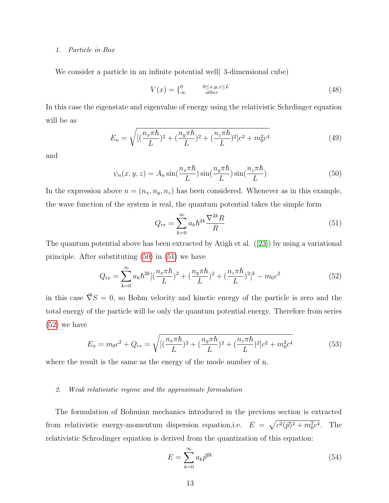#### 1. Particle in Box

We consider a particle in an infinite potential well( 3-dimensional cube)

$$
V(x) = \begin{cases} 0 & 0 \le x, y, z \le L \\ \infty & \text{other} \end{cases} \tag{48}
$$

In this case the eigenstate and eigenvalue of energy using the relativistic Schrdinger equation will be as

$$
E_n = \sqrt{\left[ \left( \frac{n_x \pi \hbar}{L} \right)^2 + \left( \frac{n_y \pi \hbar}{L} \right)^2 + \left( \frac{n_z \pi \hbar}{L} \right)^2 \right] c^2 + m_0^2 c^4} \tag{49}
$$

and

<span id="page-12-0"></span>
$$
\psi_n(x, y, z) = A_n \sin(\frac{n_x \pi \hbar}{L}) \sin(\frac{n_y \pi \hbar}{L}) \sin(\frac{n_z \pi \hbar}{L}) \tag{50}
$$

In the expression above  $n = (n_x, n_y, n_z)$  has been considered. Whenever as in this example, the wave function of the system is real, the quantum potential takes the simple form

<span id="page-12-1"></span>
$$
Q_{re} = \sum_{k=0}^{\infty} a_k \hbar^{2k} \frac{\nabla^{2k} R}{R}
$$
\n(51)

The quantum potential above has been extracted by Atigh et al. ([\[23\]](#page-19-3)) by using a variational principle. After substituting [\(50\)](#page-12-0) in [\(51\)](#page-12-1) we have

<span id="page-12-2"></span>
$$
Q_{re} = \sum_{k=0}^{\infty} a_k \hbar^{2k} \left[ \left( \frac{n_x \pi \hbar}{L} \right)^2 + \left( \frac{n_y \pi \hbar}{L} \right)^2 + \left( \frac{n_z \pi \hbar}{L} \right)^2 \right]^k - m_0 c^2 \tag{52}
$$

in this case  $\vec{\nabla}S = 0$ , so Bohm velocity and kinetic energy of the particle is zero and the total energy of the particle will be only the quantum potential energy. Therefore from series [\(52\)](#page-12-2) we have

$$
E_n = m_0 c^2 + Q_{re} = \sqrt{\left[ \left( \frac{n_x \pi \hbar}{L} \right)^2 + \left( \frac{n_y \pi \hbar}{L} \right)^2 + \left( \frac{n_z \pi \hbar}{L} \right)^2 \right] c^2 + m_0^2 c^4}
$$
(53)

where the result is the same as the energy of the mode number of n.

### 2. Weak relativistic regime and the approximate formulation

The formulation of Bohmian mechanics introduced in the previous section is extracted from relativistic energy-momentum dispersion equation, i.e.  $E = \sqrt{c^2(\vec{p})^2 + m_0^2 c^4}$ . The relativistic Schrodinger equation is derived from the quantization of this equation:

$$
E = \sum_{k=0}^{\infty} a_k \bar{p}^{2k} \tag{54}
$$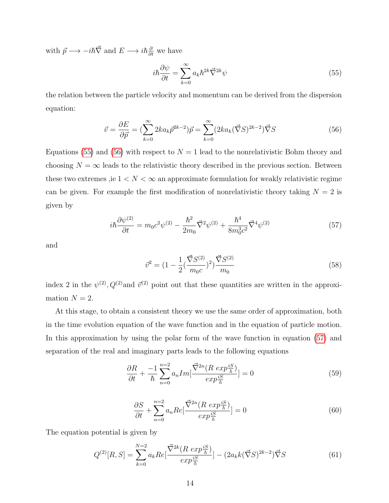with  $\vec{p} \longrightarrow -i\hbar \vec{\nabla}$  and  $E \longrightarrow i\hbar \frac{\partial}{\partial t}$  we have

<span id="page-13-0"></span>
$$
i\hbar\frac{\partial\psi}{\partial t} = \sum_{k=0}^{\infty} a_k \hbar^{2k} \vec{\nabla}^{2k} \psi
$$
\n(55)

the relation between the particle velocity and momentum can be derived from the dispersion equation:

<span id="page-13-1"></span>
$$
\vec{v} = \frac{\partial E}{\partial \vec{p}} = \left(\sum_{k=0}^{\infty} 2ka_k \vec{p}^{2k-2}\right)\vec{p} = \sum_{k=0}^{\infty} (2ka_k(\vec{\nabla}S)^{2k-2})\vec{\nabla}S
$$
(56)

Equations [\(55\)](#page-13-0) and [\(56\)](#page-13-1) with respect to  $N = 1$  lead to the nonrelativistic Bohm theory and choosing  $N = \infty$  leads to the relativistic theory described in the previous section. Between these two extremes ,ie  $1 < N < \infty$  an approximate formulation for weakly relativistic regime can be given. For example the first modification of nonrelativistic theory taking  $N = 2$  is given by

<span id="page-13-2"></span>
$$
i\hbar \frac{\partial \psi^{(2)}}{\partial t} = m_0 c^2 \psi^{(2)} - \frac{\hbar^2}{2m_0} \vec{\nabla}^2 \psi^{(2)} + \frac{\hbar^4}{8m_0^3 c^2} \vec{\nabla}^4 \psi^{(2)}
$$
(57)

and

$$
\vec{v}^2 = (1 - \frac{1}{2} (\frac{\vec{\nabla} S^{(2)}}{m_0 c})^2) \frac{\vec{\nabla} S^{(2)}}{m_0}
$$
\n(58)

index 2 in the  $\psi^{(2)}$ ,  $Q^{(2)}$  and  $\vec{v}^{(2)}$  point out that these quantities are written in the approximation  $N = 2$ .

At this stage, to obtain a consistent theory we use the same order of approximation, both in the time evolution equation of the wave function and in the equation of particle motion. In this approximation by using the polar form of the wave function in equation [\(57\)](#page-13-2) and separation of the real and imaginary parts leads to the following equations

$$
\frac{\partial R}{\partial t} + \frac{-1}{\hbar} \sum_{n=0}^{n=2} a_n Im[\frac{\vec{\nabla}^{2n} (R \exp{\frac{iS}{\hbar}})}{\exp{\frac{iS}{\hbar}}}] = 0
$$
\n(59)

$$
\frac{\partial S}{\partial t} + \sum_{n=0}^{n=2} a_n Re[\frac{\vec{\nabla}^{2n}(R \exp{\frac{iS}{\hbar}})}{\exp{\frac{iS}{\hbar}}}] = 0
$$
\n(60)

The equation potential is given by

$$
Q^{(2)}[R,S] = \sum_{k=0}^{N=2} a_k Re[\frac{\vec{\nabla}^{2k}(R \exp{\frac{iS}{\hbar}})}{\exp{\frac{iS}{\hbar}}}] - (2a_k k(\vec{\nabla}S)^{2k-2})\vec{\nabla}S \tag{61}
$$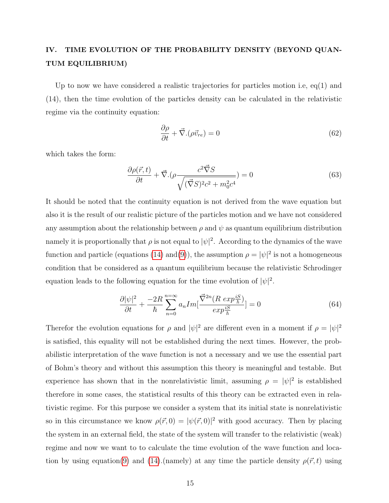# IV. TIME EVOLUTION OF THE PROBABILITY DENSITY (BEYOND QUAN-TUM EQUILIBRIUM)

Up to now we have considered a realistic trajectories for particles motion i.e, eq(1) and (14), then the time evolution of the particles density can be calculated in the relativistic regime via the continuity equation:

<span id="page-14-0"></span>
$$
\frac{\partial \rho}{\partial t} + \vec{\nabla} . (\rho \vec{v}_{re}) = 0 \tag{62}
$$

which takes the form:

$$
\frac{\partial \rho(\vec{r},t)}{\partial t} + \vec{\nabla} \cdot (\rho \frac{c^2 \vec{\nabla} S}{\sqrt{(\vec{\nabla} S)^2 c^2 + m_0^2 c^4}}) = 0
$$
\n(63)

It should be noted that the continuity equation is not derived from the wave equation but also it is the result of our realistic picture of the particles motion and we have not considered any assumption about the relationship between  $\rho$  and  $\psi$  as quantum equilibrium distribution namely it is proportionally that  $\rho$  is not equal to  $|\psi|^2$ . According to the dynamics of the wave function and particle (equations [\(14\)](#page-6-1) and [\(9\)](#page-5-1)), the assumption  $\rho = |\psi|^2$  is not a homogeneous condition that be considered as a quantum equilibrium because the relativistic Schrodinger equation leads to the following equation for the time evolution of  $|\psi|^2$ .

$$
\frac{\partial |\psi|^2}{\partial t} + \frac{-2R}{\hbar} \sum_{n=0}^{n=\infty} a_n Im[\frac{\vec{\nabla}^{2n} (R \exp{\frac{iS}{\hbar}})}{\exp{\frac{iS}{\hbar}}}] = 0 \tag{64}
$$

Therefor the evolution equations for  $\rho$  and  $|\psi|^2$  are different even in a moment if  $\rho = |\psi|^2$ is satisfied, this equality will not be established during the next times. However, the probabilistic interpretation of the wave function is not a necessary and we use the essential part of Bohm's theory and without this assumption this theory is meaningful and testable. But experience has shown that in the nonrelativistic limit, assuming  $\rho = |\psi|^2$  is established therefore in some cases, the statistical results of this theory can be extracted even in relativistic regime. For this purpose we consider a system that its initial state is nonrelativistic so in this circumstance we know  $\rho(\vec{r},0) = |\psi(\vec{r},0)|^2$  with good accuracy. Then by placing the system in an external field, the state of the system will transfer to the relativistic (weak) regime and now we want to to calculate the time evolution of the wave function and loca-tion by using equation[\(9\)](#page-5-1) and [\(14\)](#page-6-1).(namely) at any time the particle density  $\rho(\vec{r},t)$  using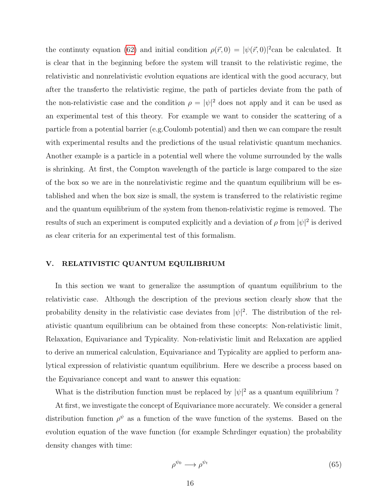the continuty equation [\(62\)](#page-14-0) and initial condition  $\rho(\vec{r},0) = |\psi(\vec{r},0)|^2$ can be calculated. It is clear that in the beginning before the system will transit to the relativistic regime, the relativistic and nonrelativistic evolution equations are identical with the good accuracy, but after the transferto the relativistic regime, the path of particles deviate from the path of the non-relativistic case and the condition  $\rho = |\psi|^2$  does not apply and it can be used as an experimental test of this theory. For example we want to consider the scattering of a particle from a potential barrier (e.g.Coulomb potential) and then we can compare the result with experimental results and the predictions of the usual relativistic quantum mechanics. Another example is a particle in a potential well where the volume surrounded by the walls is shrinking. At first, the Compton wavelength of the particle is large compared to the size of the box so we are in the nonrelativistic regime and the quantum equilibrium will be established and when the box size is small, the system is transferred to the relativistic regime and the quantum equilibrium of the system from thenon-relativistic regime is removed. The results of such an experiment is computed explicitly and a deviation of  $\rho$  from  $|\psi|^2$  is derived as clear criteria for an experimental test of this formalism.

## V. RELATIVISTIC QUANTUM EQUILIBRIUM

In this section we want to generalize the assumption of quantum equilibrium to the relativistic case. Although the description of the previous section clearly show that the probability density in the relativistic case deviates from  $|\psi|^2$ . The distribution of the relativistic quantum equilibrium can be obtained from these concepts: Non-relativistic limit, Relaxation, Equivariance and Typicality. Non-relativistic limit and Relaxation are applied to derive an numerical calculation, Equivariance and Typicality are applied to perform analytical expression of relativistic quantum equilibrium. Here we describe a process based on the Equivariance concept and want to answer this equation:

What is the distribution function must be replaced by  $|\psi|^2$  as a quantum equilibrium?

At first, we investigate the concept of Equivariance more accurately. We consider a general distribution function  $\rho^{\psi}$  as a function of the wave function of the systems. Based on the evolution equation of the wave function (for example Schrdinger equation) the probability density changes with time:

$$
\rho^{\psi_0} \longrightarrow \rho^{\psi_t} \tag{65}
$$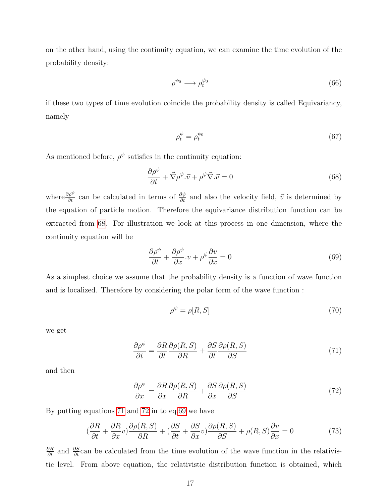on the other hand, using the continuity equation, we can examine the time evolution of the probability density:

$$
\rho^{\psi_0} \longrightarrow \rho_t^{\psi_0} \tag{66}
$$

if these two types of time evolution coincide the probability density is called Equivariancy, namely

$$
\rho_t^{\psi} = \rho_t^{\psi_0} \tag{67}
$$

As mentioned before,  $\rho^{\psi}$  satisfies in the continuity equation:

<span id="page-16-0"></span>
$$
\frac{\partial \rho^{\psi}}{\partial t} + \vec{\nabla} \rho^{\psi} . \vec{v} + \rho^{\psi} \vec{\nabla} . \vec{v} = 0
$$
\n(68)

where  $\frac{\partial \rho^{\psi}}{\partial t}$  can be calculated in terms of  $\frac{\partial \psi}{\partial t}$  and also the velocity field,  $\vec{v}$  is determined by the equation of particle motion. Therefore the equivariance distribution function can be extracted from [68.](#page-16-0) For illustration we look at this process in one dimension, where the continuity equation will be

<span id="page-16-3"></span>
$$
\frac{\partial \rho^{\psi}}{\partial t} + \frac{\partial \rho^{\psi}}{\partial x} \cdot v + \rho^{\psi} \frac{\partial v}{\partial x} = 0
$$
\n(69)

As a simplest choice we assume that the probability density is a function of wave function and is localized. Therefore by considering the polar form of the wave function :

$$
\rho^{\psi} = \rho[R, S] \tag{70}
$$

we get

<span id="page-16-1"></span>
$$
\frac{\partial \rho^{\psi}}{\partial t} = \frac{\partial R}{\partial t} \frac{\partial \rho(R, S)}{\partial R} + \frac{\partial S}{\partial t} \frac{\partial \rho(R, S)}{\partial S}
$$
(71)

and then

<span id="page-16-2"></span>
$$
\frac{\partial \rho^{\psi}}{\partial x} = \frac{\partial R}{\partial x} \frac{\partial \rho(R, S)}{\partial R} + \frac{\partial S}{\partial x} \frac{\partial \rho(R, S)}{\partial S}
$$
(72)

By putting equations [71](#page-16-1) and [72](#page-16-2) in to eq[.69](#page-16-3) we have

$$
\left(\frac{\partial R}{\partial t} + \frac{\partial R}{\partial x}v\right)\frac{\partial \rho(R, S)}{\partial R} + \left(\frac{\partial S}{\partial t} + \frac{\partial S}{\partial x}v\right)\frac{\partial \rho(R, S)}{\partial S} + \rho(R, S)\frac{\partial v}{\partial x} = 0\tag{73}
$$

 $\frac{\partial R}{\partial t}$  and  $\frac{\partial S}{\partial t}$  can be calculated from the time evolution of the wave function in the relativistic level. From above equation, the relativistic distribution function is obtained, which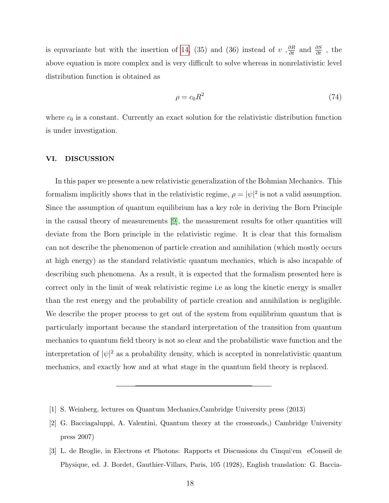is equvariante but with the insertion of [14,](#page-6-1) (35) and (36) instead of v,  $\frac{\partial R}{\partial t}$  and  $\frac{\partial S}{\partial t}$ , the above equation is more complex and is very difficult to solve whereas in nonrelativistic level distribution function is obtained as

$$
\rho = c_0 R^2 \tag{74}
$$

where  $c_0$  is a constant. Currently an exact solution for the relativistic distribution function is under investigation.

## VI. DISCUSSION

In this paper we presente a new relativistic generalization of the Bohmian Mechanics. This formalism implicitly shows that in the relativistic regime,  $\rho = |\psi|^2$  is not a valid assumption. Since the assumption of quantum equilibrium has a key role in deriving the Born Principle in the causal theory of measurements [\[9\]](#page-18-0), the measurement results for other quantities will deviate from the Born principle in the relativistic regime. It is clear that this formalism can not describe the phenomenon of particle creation and annihilation (which mostly occurs at high energy) as the standard relativistic quantum mechanics, which is also incapable of describing such phenomena. As a result, it is expected that the formalism presented here is correct only in the limit of weak relativistic regime i.e as long the kinetic energy is smaller than the rest energy and the probability of particle creation and annihilation is negligible. We describe the proper process to get out of the system from equilibrium quantum that is particularly important because the standard interpretation of the transition from quantum mechanics to quantum field theory is not so clear and the probabilistic wave function and the interpretation of  $|\psi|^2$  as a probability density, which is accepted in nonrelativistic quantum mechanics, and exactly how and at what stage in the quantum field theory is replaced.

<span id="page-17-1"></span><span id="page-17-0"></span><sup>[1]</sup> S. Weinberg, lectures on Quantum Mechanics,Cambridge University press (2013)

<sup>[2]</sup> G. Bacciagaluppi, A. Valentini, Quantum theory at the crossroads,) Cambridge University press 2007)

<span id="page-17-2"></span><sup>[3]</sup> L. de Broglie, in Electrons et Photons: Rapports et Discussions du Cinqui'em eConseil de Physique, ed. J. Bordet, Gauthier-Villars, Paris, 105 (1928), English translation: G. Baccia-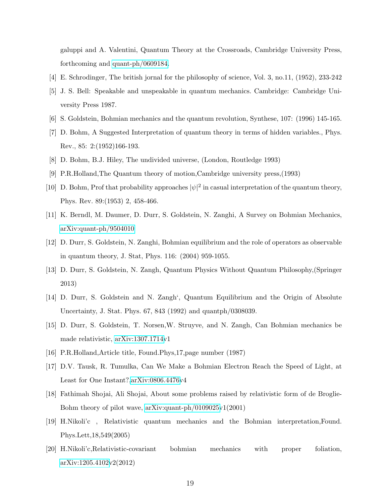galuppi and A. Valentini, Quantum Theory at the Crossroads, Cambridge University Press, forthcoming and [quant-ph/0609184.](http://arxiv.org/abs/quant-ph/0609184)

- [4] E. Schrodinger, The british jornal for the philosophy of science, Vol. 3, no.11, (1952), 233-242
- [5] J. S. Bell: Speakable and unspeakable in quantum mechanics. Cambridge: Cambridge University Press 1987.
- <span id="page-18-8"></span><span id="page-18-1"></span>[6] S. Goldstein, Bohmian mechanics and the quantum revolution, Synthese, 107: (1996) 145-165.
- [7] D. Bohm, A Suggested Interpretation of quantum theory in terms of hidden variables., Phys. Rev., 85: 2:(1952)166-193.
- <span id="page-18-0"></span>[8] D. Bohm, B.J. Hiley, The undivided universe, (London, Routledge 1993)
- <span id="page-18-2"></span>[9] P.R.Holland,The Quantum theory of motion,Cambridge university press,(1993)
- [10] D. Bohm, Prof that probability approaches  $|\psi|^2$  in casual interpretation of the quantum theory, Phys. Rev. 89:(1953) 2, 458-466.
- <span id="page-18-6"></span>[11] K. Berndl, M. Daumer, D. Durr, S. Goldstein, N. Zanghi, A Survey on Bohmian Mechanics, [arXiv:quant-ph/9504010](http://arxiv.org/abs/quant-ph/9504010)
- <span id="page-18-3"></span>[12] D. Durr, S. Goldstein, N. Zanghi, Bohmian equilibrium and the role of operators as observable in quantum theory, J. Stat, Phys. 116: (2004) 959-1055.
- <span id="page-18-5"></span>[13] D. Durr, S. Goldstein, N. Zangh, Quantum Physics Without Quantum Philosophy,(Springer 2013)
- <span id="page-18-7"></span>[14] D. Durr, S. Goldstein and N. Zangh', Quantum Equilibrium and the Origin of Absolute Uncertainty, J. Stat. Phys. 67, 843 (1992) and quantph/0308039.
- [15] D. Durr, S. Goldstein, T. Norsen,W. Struyve, and N. Zangh, Can Bohmian mechanics be made relativistic, [arXiv:1307.1714v](http://arxiv.org/abs/1307.1714)1
- <span id="page-18-4"></span>[16] P.R.Holland,Article title, Found.Phys,17,page number (1987)
- [17] D.V. Tausk, R. Tumulka, Can We Make a Bohmian Electron Reach the Speed of Light, at Least for One Instant?[,arXiv:0806.4476v](http://arxiv.org/abs/0806.4476)4
- <span id="page-18-9"></span>[18] Fathimah Shojai, Ali Shojai, About some problems raised by relativistic form of de Broglie-Bohm theory of pilot wave, [arXiv:quant-ph/0109025v](http://arxiv.org/abs/quant-ph/0109025)1(2001)
- [19] H.Nikoli'c , Relativistic quantum mechanics and the Bohmian interpretation,Found. Phys.Lett,18,549(2005)
- [20] H.Nikoli'c,Relativistic-covariant bohmian mechanics with proper foliation, [arXiv:1205.4102v](http://arxiv.org/abs/1205.4102)2(2012)